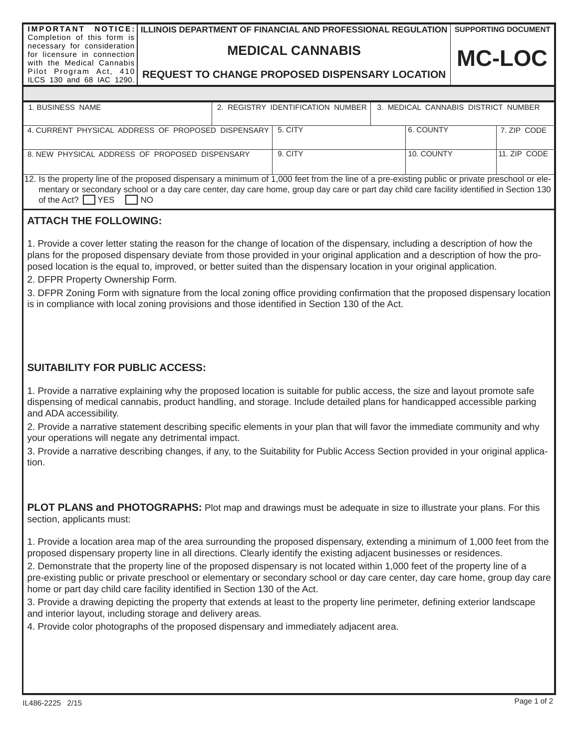**MEDICAL CANNABIS**

**SUPPORTING DOCUMENT**

# **REQUEST TO CHANGE PROPOSED DISPENSARY LOCATION**

| 1. BUSINESS NAME                                                                                                                                |  | 2. REGISTRY IDENTIFICATION NUMBER<br>3. MEDICAL CANNABIS DISTRICT NUMBER |  |            |              |  |
|-------------------------------------------------------------------------------------------------------------------------------------------------|--|--------------------------------------------------------------------------|--|------------|--------------|--|
|                                                                                                                                                 |  |                                                                          |  |            |              |  |
| 4. CURRENT PHYSICAL ADDRESS OF PROPOSED DISPENSARY                                                                                              |  | 5. CITY                                                                  |  | 6. COUNTY  | 7. ZIP CODE  |  |
|                                                                                                                                                 |  |                                                                          |  |            |              |  |
| 8. NEW PHYSICAL ADDRESS OF PROPOSED DISPENSARY                                                                                                  |  | 9. CITY                                                                  |  | 10. COUNTY | 11. ZIP CODE |  |
|                                                                                                                                                 |  |                                                                          |  |            |              |  |
| 12. Is the property line of the proposed dispensary a minimum of 1,000 feet from the line of a pre-existing public or private preschool or ele- |  |                                                                          |  |            |              |  |
| mentary or secondary school or a day care center, day care home, group day care or part day child care facility identified in Section 130       |  |                                                                          |  |            |              |  |
| of the Act? $\Box$ YES $\Box$<br><b>INO</b>                                                                                                     |  |                                                                          |  |            |              |  |

### **ATTACH THE FOLLOWING:**

1. Provide a cover letter stating the reason for the change of location of the dispensary, including a description of how the plans for the proposed dispensary deviate from those provided in your original application and a description of how the proposed location is the equal to, improved, or better suited than the dispensary location in your original application.

2. DFPR Property Ownership Form.

3. DFPR Zoning Form with signature from the local zoning office providing confirmation that the proposed dispensary location is in compliance with local zoning provisions and those identified in Section 130 of the Act.

### **SUITABILITY FOR PUBLIC ACCESS:**

1. Provide a narrative explaining why the proposed location is suitable for public access, the size and layout promote safe dispensing of medical cannabis, product handling, and storage. Include detailed plans for handicapped accessible parking and ADA accessibility.

2. Provide a narrative statement describing specific elements in your plan that will favor the immediate community and why your operations will negate any detrimental impact.

3. Provide a narrative describing changes, if any, to the Suitability for Public Access Section provided in your original application.

**PLOT PLANS and PHOTOGRAPHS:** Plot map and drawings must be adequate in size to illustrate your plans. For this section, applicants must:

1. Provide a location area map of the area surrounding the proposed dispensary, extending a minimum of 1,000 feet from the proposed dispensary property line in all directions. Clearly identify the existing adjacent businesses or residences.

2. Demonstrate that the property line of the proposed dispensary is not located within 1,000 feet of the property line of a pre-existing public or private preschool or elementary or secondary school or day care center, day care home, group day care home or part day child care facility identified in Section 130 of the Act.

3. Provide a drawing depicting the property that extends at least to the property line perimeter, defining exterior landscape and interior layout, including storage and delivery areas.

4. Provide color photographs of the proposed dispensary and immediately adjacent area.